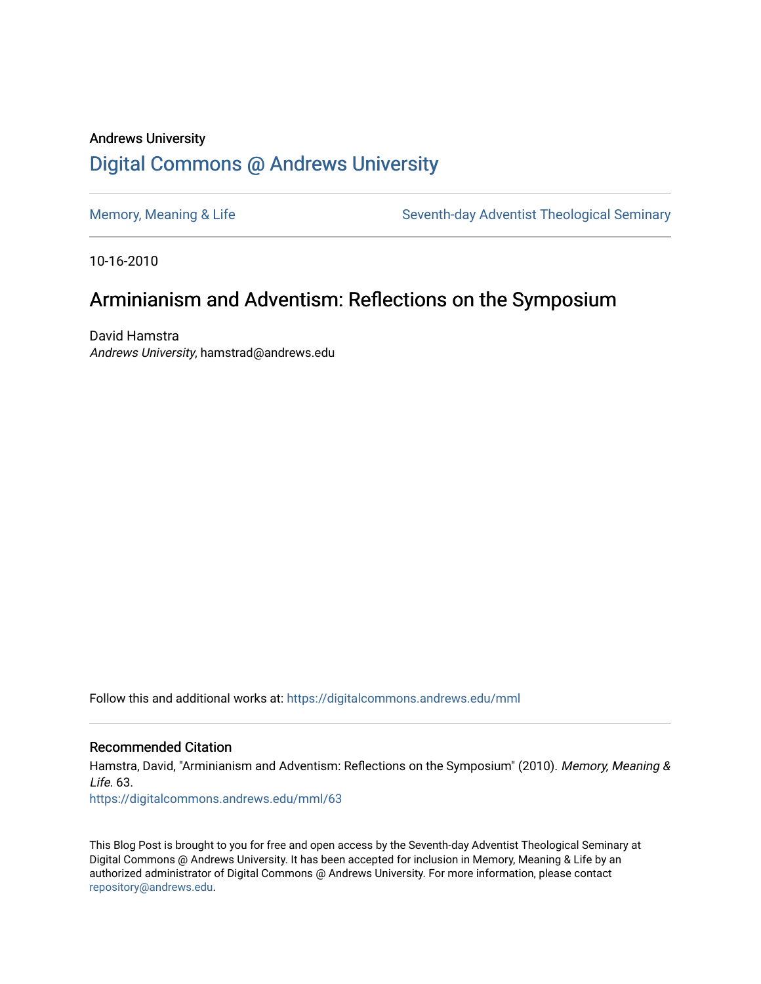## Andrews University [Digital Commons @ Andrews University](https://digitalcommons.andrews.edu/)

[Memory, Meaning & Life](https://digitalcommons.andrews.edu/mml) Seventh-day Adventist Theological Seminary

10-16-2010

# Arminianism and Adventism: Reflections on the Symposium

David Hamstra Andrews University, hamstrad@andrews.edu

Follow this and additional works at: [https://digitalcommons.andrews.edu/mml](https://digitalcommons.andrews.edu/mml?utm_source=digitalcommons.andrews.edu%2Fmml%2F63&utm_medium=PDF&utm_campaign=PDFCoverPages) 

#### Recommended Citation

Hamstra, David, "Arminianism and Adventism: Reflections on the Symposium" (2010). Memory, Meaning &  $L$ ife. 63.

[https://digitalcommons.andrews.edu/mml/63](https://digitalcommons.andrews.edu/mml/63?utm_source=digitalcommons.andrews.edu%2Fmml%2F63&utm_medium=PDF&utm_campaign=PDFCoverPages)

This Blog Post is brought to you for free and open access by the Seventh-day Adventist Theological Seminary at Digital Commons @ Andrews University. It has been accepted for inclusion in Memory, Meaning & Life by an authorized administrator of Digital Commons @ Andrews University. For more information, please contact [repository@andrews.edu](mailto:repository@andrews.edu).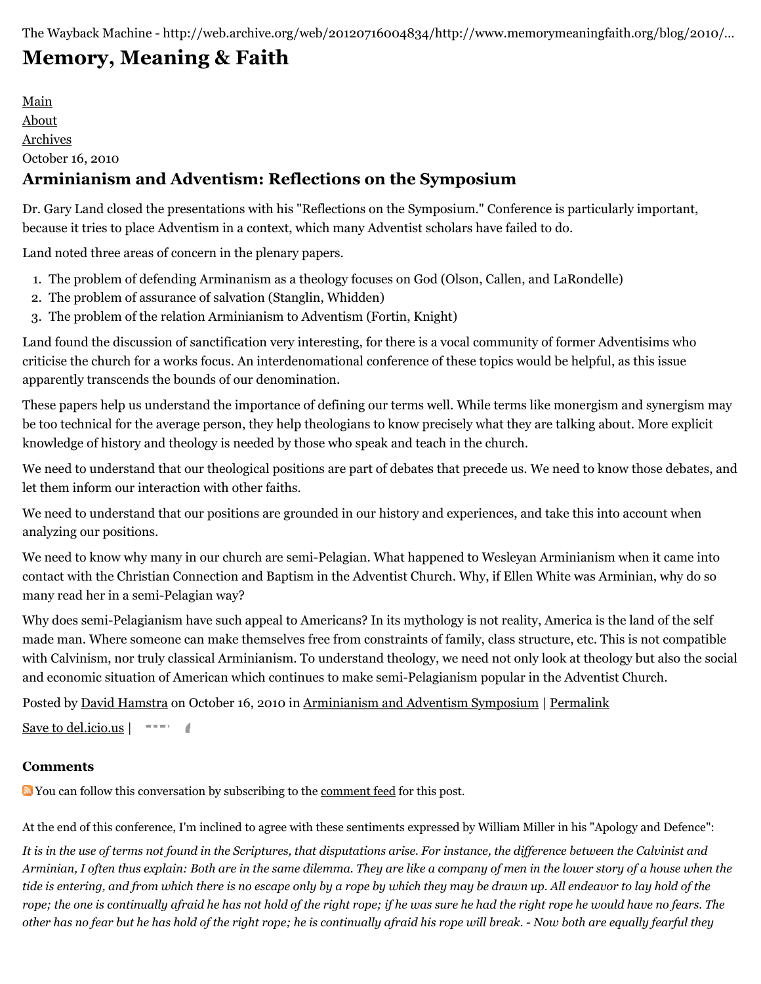The Wayback Machine - http://web.archive.org/web/20120716004834/http://www.memorymeaningfaith.org/blog/2010/…

# **[Memory, Meaning & Faith](http://web.archive.org/web/20120716004834/http://www.memorymeaningfaith.org/blog/)**

[Main](http://web.archive.org/web/20120716004834/http://www.memorymeaningfaith.org/blog) [About](http://web.archive.org/web/20120716004834/http://www.memorymeaningfaith.org/blog/about.html) [Archives](http://web.archive.org/web/20120716004834/http://www.memorymeaningfaith.org/blog/archives.html) October 16, 2010

### **Arminianism and Adventism: Reflections on the Symposium**

Dr. Gary Land closed the presentations with his "Reflections on the Symposium." Conference is particularly important, because it tries to place Adventism in a context, which many Adventist scholars have failed to do.

Land noted three areas of concern in the plenary papers.

- 1. The problem of defending Arminanism as a theology focuses on God (Olson, Callen, and LaRondelle)
- 2. The problem of assurance of salvation (Stanglin, Whidden)
- 3. The problem of the relation Arminianism to Adventism (Fortin, Knight)

Land found the discussion of sanctification very interesting, for there is a vocal community of former Adventisims who criticise the church for a works focus. An interdenomational conference of these topics would be helpful, as this issue apparently transcends the bounds of our denomination.

These papers help us understand the importance of defining our terms well. While terms like monergism and synergism may be too technical for the average person, they help theologians to know precisely what they are talking about. More explicit knowledge of history and theology is needed by those who speak and teach in the church.

We need to understand that our theological positions are part of debates that precede us. We need to know those debates, and let them inform our interaction with other faiths.

We need to understand that our positions are grounded in our history and experiences, and take this into account when analyzing our positions.

We need to know why many in our church are semi-Pelagian. What happened to Wesleyan Arminianism when it came into contact with the Christian Connection and Baptism in the Adventist Church. Why, if Ellen White was Arminian, why do so many read her in a semi-Pelagian way?

Why does semi-Pelagianism have such appeal to Americans? In its mythology is not reality, America is the land of the self made man. Where someone can make themselves free from constraints of family, class structure, etc. This is not compatible with Calvinism, nor truly classical Arminianism. To understand theology, we need not only look at theology but also the social and economic situation of American which continues to make semi-Pelagianism popular in the Adventist Church.

Posted by [David Hamstra](http://web.archive.org/web/20120716004834/http://profile.typepad.com/davidhamstra) on October 16, 2010 in [Arminianism and Adventism Symposium](http://web.archive.org/web/20120716004834/http://www.memorymeaningfaith.org/blog/arminianism-and-adventism-symposium/) | [Permalink](http://web.archive.org/web/20120716004834/http://www.memorymeaningfaith.org/blog/2010/10/arminianism-adventism-reflections.html)

[Save to del.icio.us](http://web.archive.org/web/20120716004834/http://del.icio.us/post)  $\vert \quad \text{---}$ 

#### **Comments**

You can follow this conversation by subscribing to the [comment feed](http://web.archive.org/web/20120716004834/http://www.memorymeaningfaith.org/blog/2010/10/arminianism-adventism-reflections/comments/atom.xml) for this post.

At the end of this conference, I'm inclined to agree with these sentiments expressed by William Miller in his "Apology and Defence":

*It is in the use of terms not found in the Scriptures, that disputations arise. For instance, the difference between the Calvinist and Arminian, I often thus explain: Both are in the same dilemma. They are like a company of men in the lower story of a house when the tide is entering, and from which there is no escape only by a rope by which they may be drawn up. All endeavor to lay hold of the rope; the one is continually afraid he has not hold of the right rope; if he was sure he had the right rope he would have no fears. The other has no fear but he has hold of the right rope; he is continually afraid his rope will break. - Now both are equally fearful they*